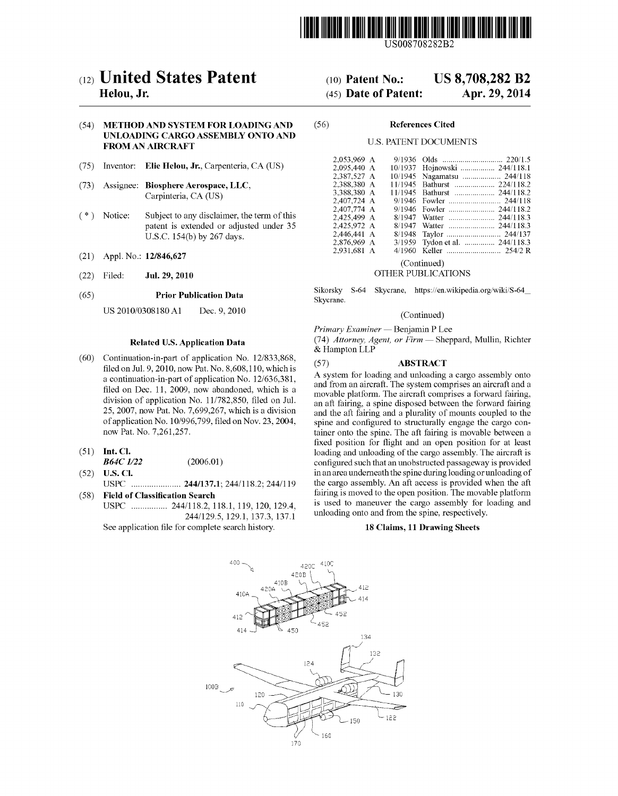

US008708282B2

# (12) United States Patent

# Helou, Jr.

## (54) METHOD AND SYSTEM FOR LOADING AND UNLOADING CARGO ASSEMBLY ONTO AND **FROM AN AIRCRAFT**

- (75) Inventor: Elie Helou, Jr., Carpenteria, CA (US)
- $(73)$ Assignee: Biosphere Aerospace, LLC, Carpinteria, CA (US)
- $(* )$ Notice: Subject to any disclaimer, the term of this patent is extended or adjusted under 35 U.S.C. 154(b) by 267 days.
- $(21)$ Appl. No.: 12/846,627
- Jul. 29, 2010  $(22)$ Filed:

#### $(65)$ **Prior Publication Data**

US 2010/0308180 A1 Dec. 9, 2010

## **Related U.S. Application Data**

- $(60)$ Continuation-in-part of application No. 12/833,868, filed on Jul. 9, 2010, now Pat. No. 8, 608, 110, which is a continuation-in-part of application No. 12/636,381, filed on Dec. 11, 2009, now abandoned, which is a division of application No. 11/782,850, filed on Jul. 25, 2007, now Pat. No. 7,699,267, which is a division of application No. 10/996,799, filed on Nov. 23, 2004, now Pat. No. 7,261,257.
- $(51)$  Int. Cl.
- **B64C** 1/22  $(2006.01)$  $(52)$ **U.S. Cl.**
- **Field of Classification Search**  $(58)$
- USPC ................ 244/118.2, 118.1, 119, 120, 129.4, 244/129.5, 129.1, 137.3, 137.1 See application file for complete search history.

#### **US 8,708,282 B2**  $(10)$  Patent No.: (45) Date of Patent:

# Apr. 29, 2014

#### $(56)$ **References Cited**

## **U.S. PATENT DOCUMENTS**

| 10/1937 Hojnowski  244/118.1   |
|--------------------------------|
| 10/1945 Nagamatsu  244/118     |
| 11/1945 Bathurst  224/118.2    |
| 11/1945 Bathurst  244/118.2    |
|                                |
| 9/1946 Fowler  244/118.2       |
|                                |
|                                |
|                                |
| 3/1959 Tydon et al.  244/118.3 |
|                                |
|                                |

### (Continued)

## OTHER PUBLICATIONS

Skycrane, https://en.wikipedia.org/wiki/S-64\_ Sikorsky S-64 Skycrane.

#### (Continued)

Primary Examiner — Benjamin P Lee (74) Attorney, Agent, or Firm - Sheppard, Mullin, Richter & Hampton LLP

#### $(57)$ **ABSTRACT**

A system for loading and unloading a cargo assembly onto and from an aircraft. The system comprises an aircraft and a movable platform. The aircraft comprises a forward fairing, an aft fairing, a spine disposed between the forward fairing and the aft fairing and a plurality of mounts coupled to the spine and configured to structurally engage the cargo container onto the spine. The aft fairing is movable between a fixed position for flight and an open position for at least loading and unloading of the cargo assembly. The aircraft is configured such that an unobstructed passageway is provided in an area underneath the spine during loading or unloading of the cargo assembly. An aft access is provided when the aft fairing is moved to the open position. The movable platform is used to maneuver the cargo assembly for loading and unloading onto and from the spine, respectively.

#### 18 Claims, 11 Drawing Sheets

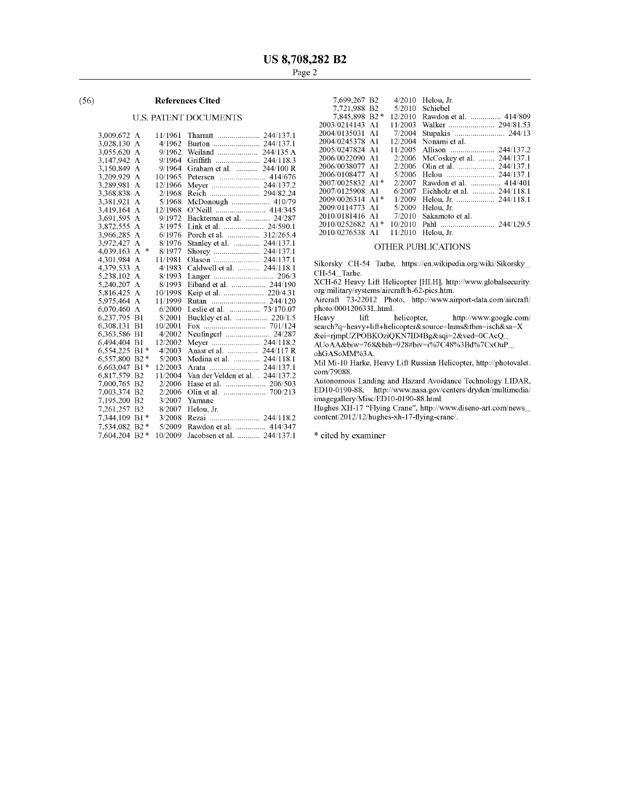#### $(56)$ **References Cited**

# **U.S. PATENT DOCUMENTS**

| 3,009,672 A |                    | 11/1961 |                                   |
|-------------|--------------------|---------|-----------------------------------|
| 3,028,130   | А                  | 4/1962  |                                   |
| 3,055,620   | A                  | 9/1962  | Weiland  244/135 A                |
| 3,147,942   | А                  | 9/1964  |                                   |
| 3,150,849   | А                  | 9/1964  | Graham et al.  244/100 R          |
| 3,209,929   | A                  | 10/1965 |                                   |
| 3,289,981   | А                  | 12/1966 | Meyer  244/137.2                  |
| 3,368,838   | А                  | 2/1968  |                                   |
| 3,381,921   | A                  | 5/1968  | McDonough  410/79                 |
| 3,419,164   | А                  | 12/1968 |                                   |
| 3,691,595   | А                  | 9/1972  | Backteman et al.<br>24/287        |
| 3,872,555   | А                  | 3/1975  |                                   |
| 3,966,285   | А                  | 6/1976  | Porch et al.  312/265.4           |
| 3,972,427   | А                  | 8/1976  | Stanley et al.  244/137.1         |
| 4,039,163   | $\frac{1}{2}$<br>A | 8/1977  |                                   |
| 4,301,984   | А                  | 11/1981 |                                   |
| 4,379,533   | А                  | 4/1983  | Caldwell et al.  244/118.1        |
| 5,238,102   | A                  | 8/1993  |                                   |
| 5,240,207   | A                  | 8/1993  |                                   |
| 5,816,425   | А                  | 10/1998 |                                   |
| 5,975,464   | A                  | 11/1999 | Rutan  244/120                    |
| 6,070,460   | А                  | 6/2000  | Leslie et al.  73/170.07          |
| 6,237,795   | B1                 | 5/2001  | Buckley et al.  220/1.5           |
| 6,308,131   | B1                 | 10/2001 |                                   |
| 6,363,586   | B1                 | 4/2002  | Neufinger1  24/287                |
| 6,494,404   | B1                 | 12/2002 | Meyer  244/118.2                  |
| 6,554,225   | 申<br>B1            | 4/2003  | Anast et al.  244/117 R           |
| 6,557,800   | $B2*$              | 5/2003  | Medina et al.  244/118.1          |
| 6,663,047   | $B1*$              | 12/2003 |                                   |
| 6,817,579   | <b>B2</b>          | 11/2004 | Van der Velden et al. . 244/137.2 |
| 7,000,765   | B <sub>2</sub>     | 2/2006  |                                   |
| 7,003,374   | B2                 | 2/2006  |                                   |
| 7,195,200   | B <sub>2</sub>     | 3/2007  | Yamane                            |
| 7,261,257   | B <sub>2</sub>     | 8/2007  | Helou, Jr.                        |
| 7,344,109   | $\ast$<br>B1       | 3/2008  | Rezai  244/118.2                  |
| 7,534,082   | $B2*$              | 5/2009  | Rawdon et al.  414/347            |
| 7,604,204   | $B2*$              | 10/2009 | Jacobsen et al.  244/137.1        |

| 7.699.267 B2                    | 4/2010  | Helou. Jr.                 |
|---------------------------------|---------|----------------------------|
| 7.721.988 B2                    | 5/2010  | Schiebel                   |
| 7.845.898 B2*                   | 12/2010 | Rawdon et al.  414/809     |
| 2003/0214143 A1                 | 11/2003 |                            |
| 2004/0135031 A1                 | 7/2004  | Stupakis  244/13           |
| 2004/0245378 A1                 | 12/2004 | Nonami et al.              |
| 2005/0247824 A1                 | 11/2005 |                            |
| 2006/0022090 A1                 | 2/2006  | McCoskey et al.  244/137.1 |
| 2006/0038077 A1                 | 2/2006  | Olin et al.  244/137.1     |
| 2006/0108477 A1                 | 5/2006  |                            |
| $2007/0025832$ A <sub>1</sub> * | 2/2007  | Rawdon et al.  414/401     |
| 2007/0125908 A1                 | 6/2007  | Eichholz et al.  244/118.1 |
| 2009/0026314 A1*                | 1/2009  |                            |
| 2009/0114773 A1                 | 5/2009  | Helou, Jr.                 |
| 2010/0181416 A1                 | 7/2010  | Sakamoto et al.            |
| 2010/0252682 A1*                | 10/2010 |                            |
| 2010/0276538 A1                 | 11/2010 | Helou. Jr.                 |
|                                 |         |                            |

#### OTHER PUBLICATIONS

Sikorsky CH-54 Tarhe, https://en.wikipedia.org/wiki/Sikorsky\_ CH-54\_Tarhe.

XCH-62 Heavy Lift Helicopter [HLH], http://www.globalsecurity. org/military/systems/aircraft/h-62-pics.htm.<br>Aircraft 73-22012 Photo, http://www.airport-data.com/aircraft/

photo/000120633L.html.

 $_{\rm lift}$ helicopter, Heavy http://www.google.com/ search?q=heavy+lift+helicopter&source=lnms&tbm=isch&sa=X

&ei=rjmpUZPOBKOziQKN7ID4Bg&sqi=2&ved=0CAcQ

AUoAA&biw=768&bih=928#biv=i%7C48%3Bd%7CxOuP\_

ohGASoMM%3A.

Mil Mi-10 Harke, Heavy Lift Russian Helicopter, http://photovalet. com/79088.

Autonomous Landing and Hazard Avoidance Technology LIDAR, ED10-0190-88, http://www.nasa.gov/centers/dryden/multimedia/ imagegallery/Misc/ED10-0190-88.html.

Hughes XH-17 "Flying Crane", http://www.diseno-art.com/news\_content/2012/12/hughes-xh-17-flying-crane/.

\* cited by examiner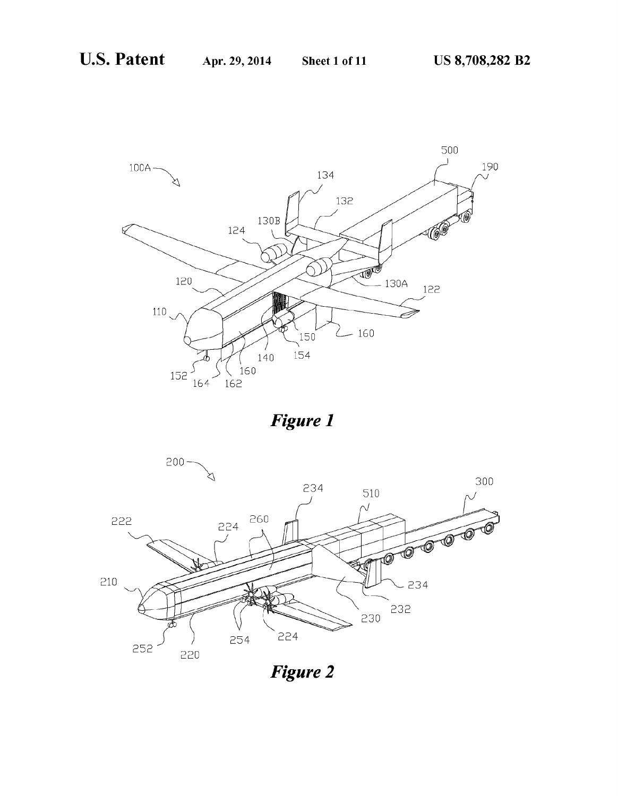

**Figure 1** 



**Figure 2**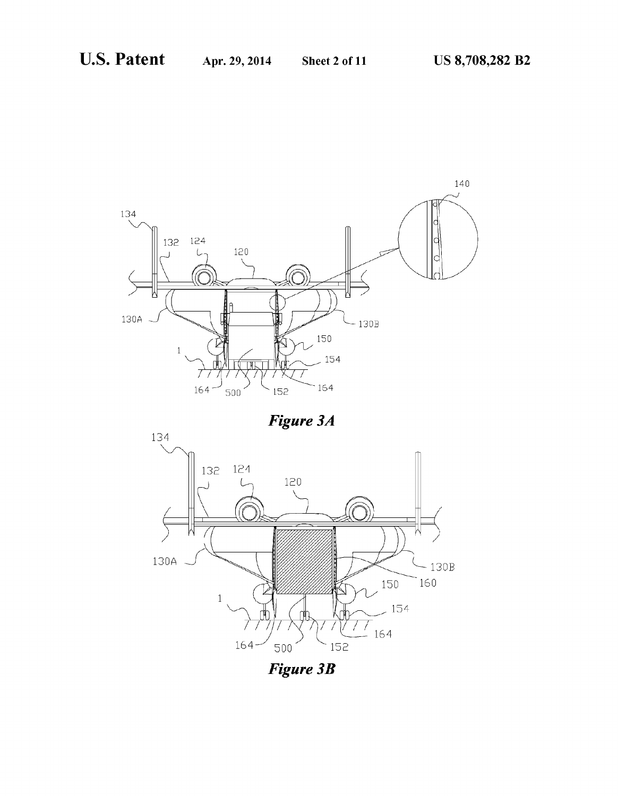

Figure 3A



**Figure 3B**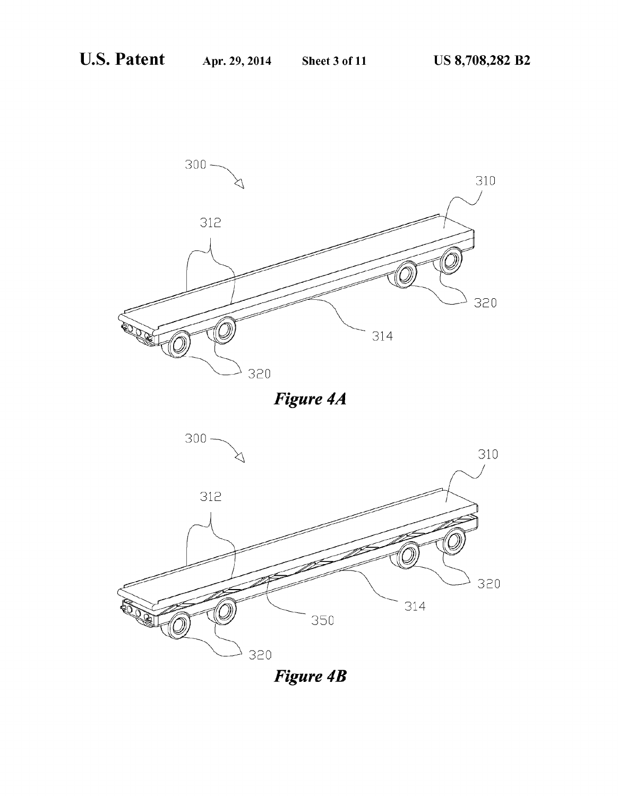

Figure 4A



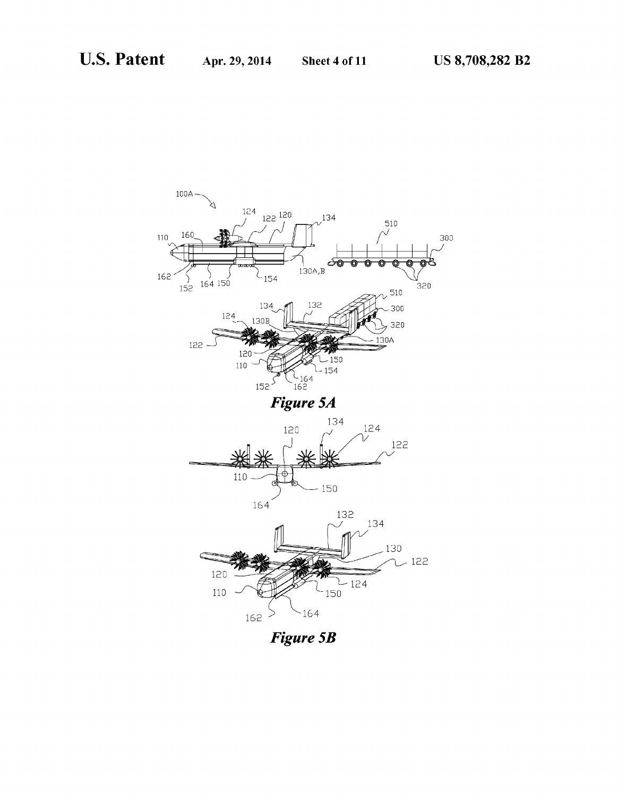

**Figure 5B**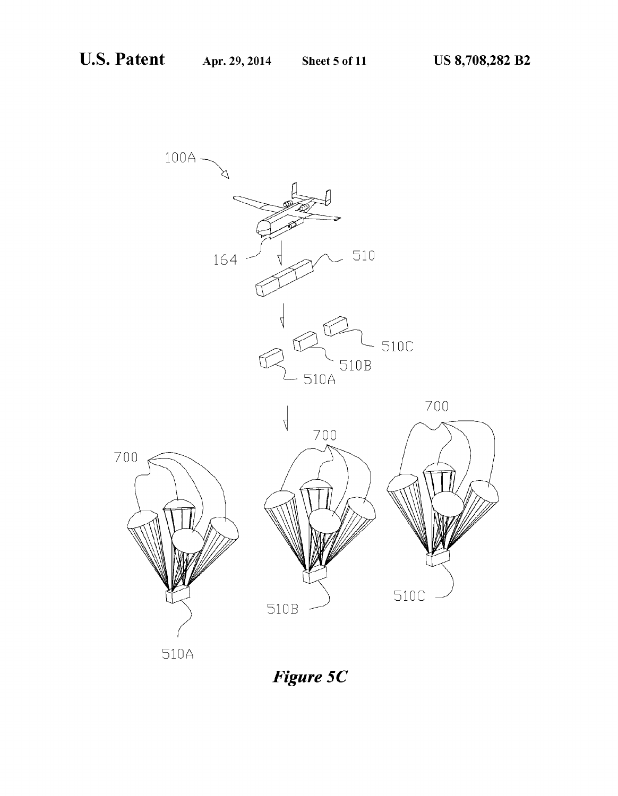

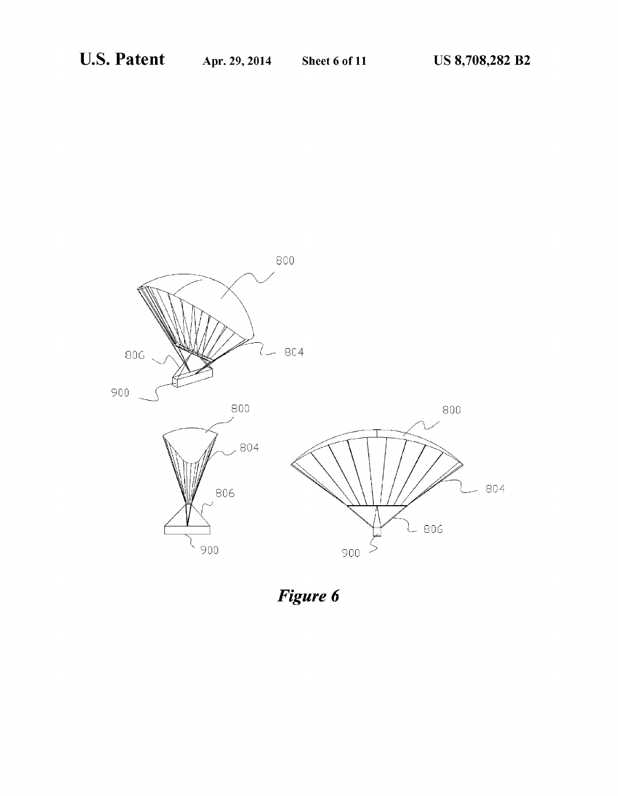

Figure 6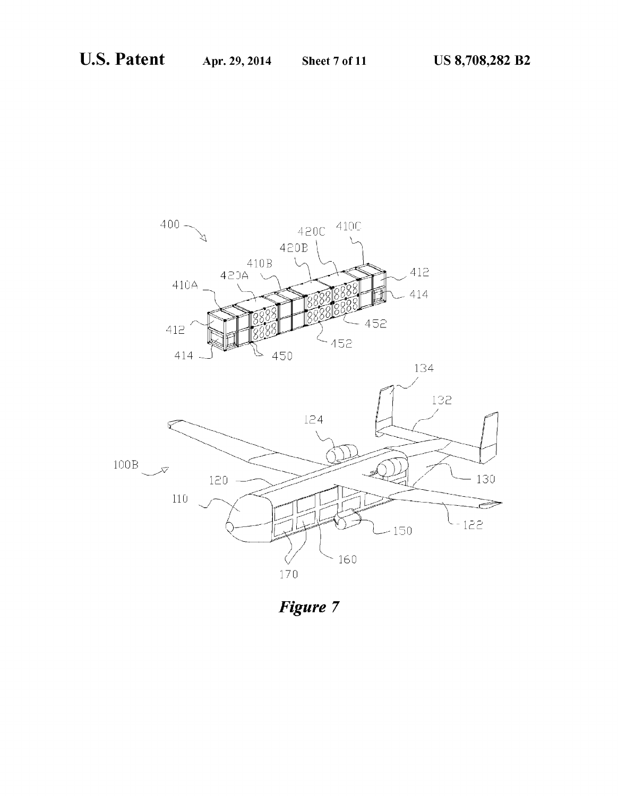



Figure 7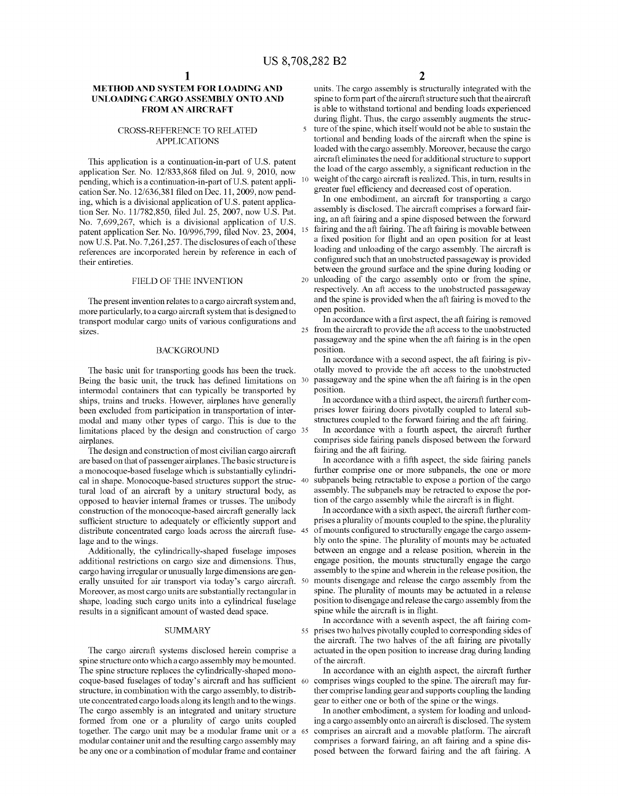$\overline{\mathbf{S}}$ 

15

# METHOD AND SYSTEM FOR L0ADING AND UNL0ADING CARG0 ASSEMBLY ONT0 AND FROM AN AIRCRAFT

### CROSS-REFERENCE T0 RELATED APPLICATIONS

This application is a continuation-in-part of U.S. patent application Ser. No. 12/833,868 filed on Jul. 9, 2010, now pending, which is a continuation-in-part of U.S. patent application Ser. No. 12/636,381 filed on Dec. 11, 2009, now pending, which is a divisional application of U.S. patent application Ser. No. 11/782,850, filed Jul. 25, 2007, now U.S. Pat. No. 7,699,267, which is a divisional application of U.S. patent application Ser. No. 10/996,799, filed Nov. 23, 2004, now U.S. Pat. No. 7,261,257. The disclosures of each of these references are incorporated herein by reference in each of their entireties.

#### FIELD 0F THE INVENTION

The present invention relates to a cargo aircraft system and, more particularly, to a cargo aircraft system that is designed to transport modular cargo units of various configurations and sizes.

#### BACKGROUND

The basic unit for transporting goods has been the truck. Being the basic unit, the truck has defined limitations on 30 intermodal containers that can typically be transported by ships, trains and trucks. However, airplanes have generally been excluded from participation in transportation of intermodal and many other types of cargo. This is due to the  $l$  limitations placed by the design and construction of cargo  $35$ airplanes.

The design and construction of most civilian cargo aircraft are based on that of passenger airplanes. The basic structure is a monocoque-based fuselage which is substantially cylindrical in shape. Monocoque-based structures support the struc-  $40$ tural load of an aircraft by a unitary structural body, as opposed to heavier internal frames or trusses. The unibody construction of the monocoque-based aircraft generally lack sufficient structure to adequately or efficiently support and distribute concentrated cargo loads across the aircraft fuse- 45 lage and to the wings.

Additionally, the cylindrically-shaped fuselage imposes additional restrictions on cargo size and dimensions. Thus, cargo having irregular or unusually large dimensions are generally unsuited for air transport via today's cargo aircraft. 50 Moreover, as most cargo units are substantially rectangular in shape, loading such cargo units into a cylindrical fuselage results in a significant amount of wasted dead space.

## **SUMMARY**

The cargo aircraft systems disclosed herein comprise a spine structure onto Which a cargo assembly may be mounted. The spine structure replaces the cylindrically-shaped monocoque-based fuselages of today's aircraft and has sufficient 60 structure, in combination with the cargo assembly, to distribute concentrated cargo loads along its length and to the wings. The cargo assembly is an integrated and unitary structure formed from one or a plurality of cargo units coupled together. The cargo unit may be a modular frame unit or a 65 modular container unit and the resulting cargo assembly may be any one or a combination of modular frame and container

units. The cargo assembly is structurally integrated with the spine to form part of the aircraft structure such that the aircraft is able to withstand tortional and bending loads experienced during flight. Thus, the cargo assembly augments the structure of the spine, which itself would not be able to sustain the tortional and bending 10ads of the aircraft When the spine is loaded with the cargo assembly. Moreover, because the cargo aircraft eliminates the need for additional structure to support the load of the cargo assembly, a significant reduction in the weight of the cargo aircraft is realized. This, in turn, results in greater fuel efficiency and decreased cost of operation.

20 un10ading Of the Carg0 assembly Ont0 0r from the spine, In one embodiment, an aircraft for transporting a cargo assembly is disclosed. The aircraft comprises a forward fairing, an aft fairing and a spine disposed between the forward fairing and the aft fairing. The aft fairing is movable between a fixed position for flight and an open position for at least loading and unloading of the cargo assembly. The aircraft is configured such that an unobstructed passageway is provided between the ground surface and the spine during loading or respectively. An aft access to the unobstructed passageway and the spine is provided when the aft fairing is moved to the open position.

25 In accordance with a first aspect, the aft fairing is removed from the aircraft to provide the aft access to the unobstructed passageway and the spine when the aft fairing is in the open Position.

In accordance with a second aspect, the aft fairing is pivotally moved to provide the aft access to the unobstructed passageway and the spine when the aft fairing is in the open Position.

In accordance with a third aspect, the aircraft further comprises lower fairing doors pivotally coupled to lateral substructures coupled to the forward fairing and the aft fairing.

In accordance with a fourth aspect, the aircraft further comprises side fairing panels disposed between the forward fairing and the aft fairing.

In accordance with a fifth aspect, the side fairing panels further comprise one or more subpanels, the one or more subpanels being retractable to expose a portion of the cargo assembly. The subpanels may be retracted to expose the portion Of the Carg0 assembly While the aircraft is in Hight.

In accordance with a sixth aspect, the aircraft further comprises a plurality of mounts coupled to the spine, the plurality of mounts configured to structurally engage the cargo assembly onto the spine. The plurality of mounts may be actuated between an engage and a release position, wherein in the engage position, the mounts structurally engage the cargo assembly to the spine and wherein in the release position, the mounts disengage and release the carg0 assembly from the spine. The plurality of mounts may be actuated in a release position to disengage and release the cargo assembly from the spine while the aircraft is in flight.

55 prises two halves pivotally coupled to corresponding sides of In accordance with a seventh aspect, the aft fairing comthe aircraft. The two halves of the aft fairing are pivotally actuated in the open position to increase drag during landing of the aircraft.

In accordance with an eighth aspect, the aircraft further comprises wings coupled to the spine. The aircraft may further comprise landing gear and supports coupling the landing gear to either one or both of the spine or the wings.

In another embodiment, a system for loading and unloading a cargo assembly onto an aircraft is disclosed. The system comprises an aircraft and a movable platform. The aircraft comprises a forward fairing, an aft fairing and a spine disposed between the forward fairing and the aft fairing. A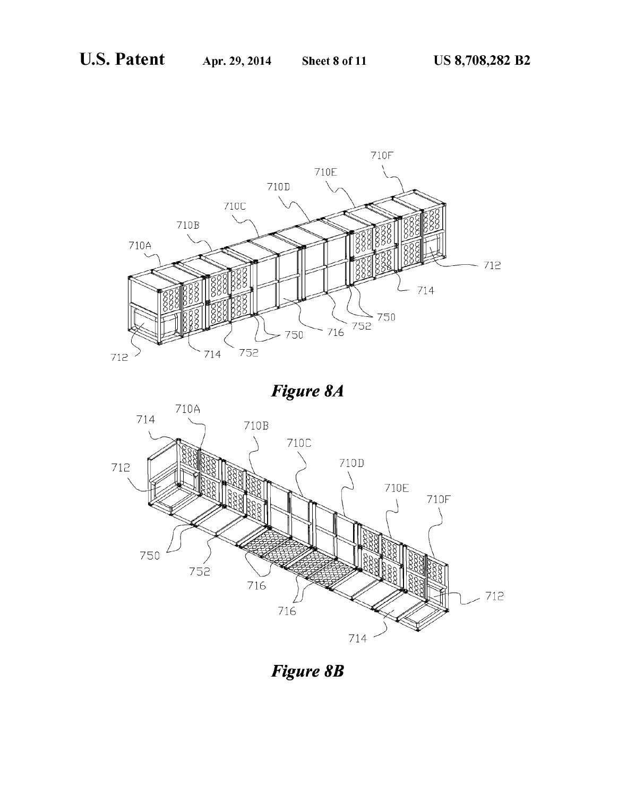712





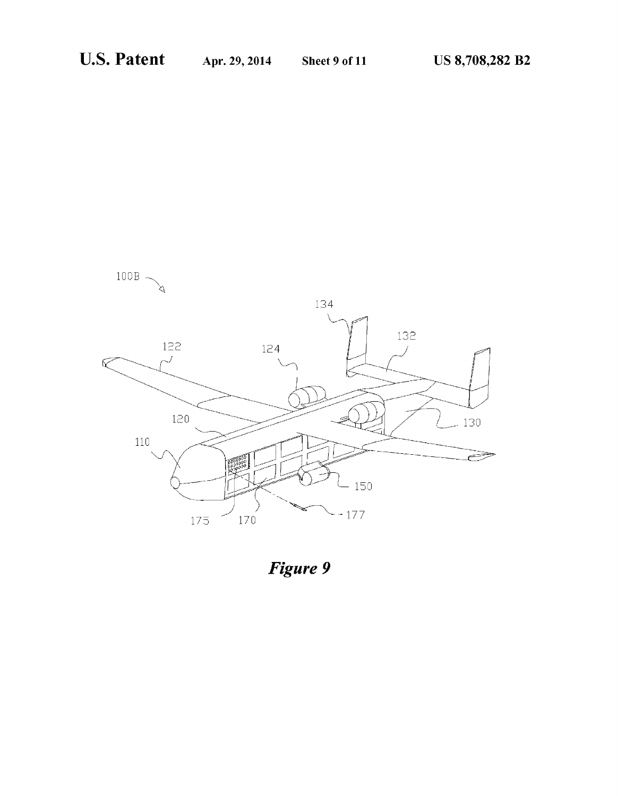

Figure 9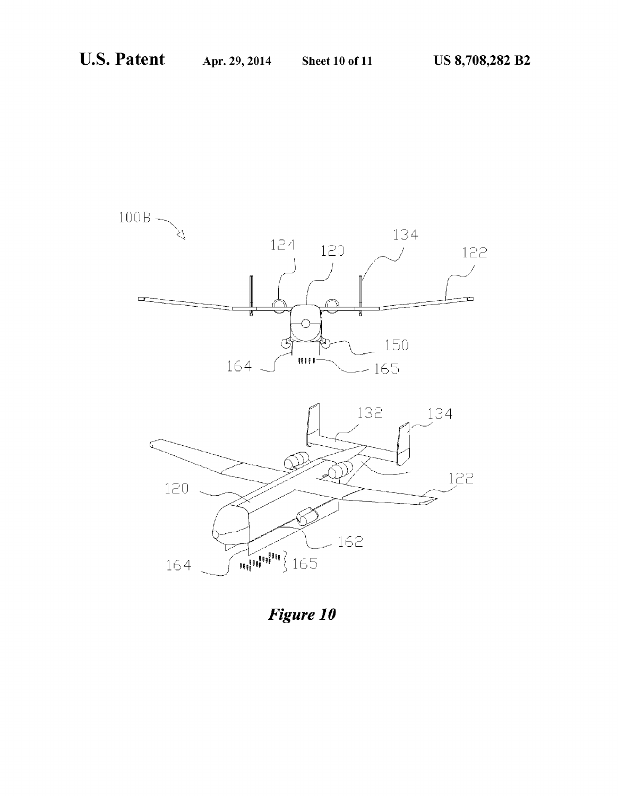

Figure 10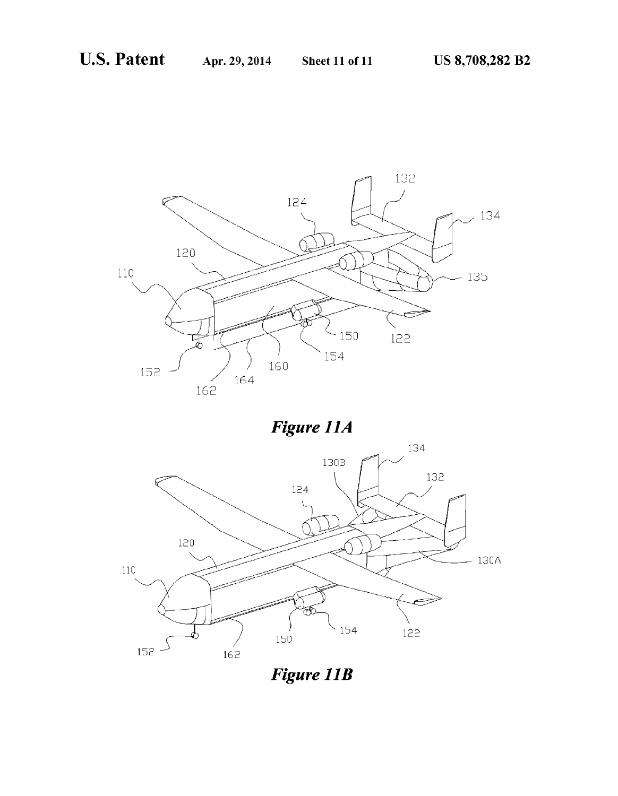

Figure 11A



**Figure 11B**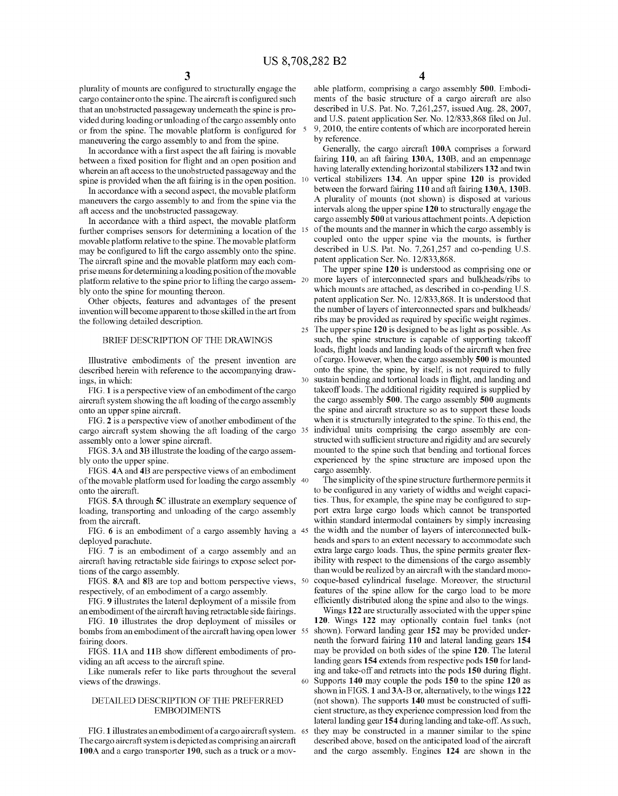10

25

 $30$ 

60

plurality of mounts are configured to structurally engage the cargo container onto the spine. The aircraft is configured such that an unobstructed passageway underneath the spine is provided during loading or unloading of the cargo assembly onto or from the spine. The movable platform is configured for  $5$ maneuvering the cargo assembly to and from the spine.

In accordance with a first aspect the aft fairing is movable between a fixed position for flight and an open position and wherein an aft access to the unobstructed passageway and the spine is provided when the aft fairing is in the open position.

In accordance with a second aspect, the movable platform maneuvers the cargo assembly to and from the spine via the aft access and the unobstructed passageway.

In accordance with a third aspect, the movable platform further comprises sensors for determining a location of the movable platform relative to the spine. The movable platform may be configured to lift the cargo assembly onto the spine. The aircraft spine and the movable platform may each comprise means for determining a loading position of the movable bly onto the spine for mounting thereon.

Other objects, features and advantages of the present invention will become apparent to those skilled in the art from the following detailed description.

#### BRIEF DESCRIPTION OF THE DRAWINGS

Illustrative embodiments of the present invention are described herein with reference to the accompanying drawings, in which:

FIG. 1 is a perspective view of an embodiment of the cargo aircraft system showing the aft loading of the cargo assembly onto an upper spine aircraft.

FIG. 2 is a perspective view of another embodiment of the cargo aircraft system showing the aft loading of the cargo 35 assembly onto a lower spine aircraft.

FIGS. 3A and 3B illustrate the loading of the cargo assembly onto the upper spine.

FIGS. 4A and 4B are perspective views of an embodiment of the movable platform used for loading the cargo assembly 40 onto the aircraft.

FIGS. 5A through 5C illustrate an exemplary sequence of loading, transporting and unloading of the cargo assembly from the aircraft.

FIG. 6 is an embodiment of a cargo assembly having a 45 deployed parachute.

FIG. 7 is an embodiment of a cargo assembly and an aircraft having retractable side fairings to expose select portions of the cargo assembly.

FIGS. 8A and 8B are top and bottom perspective views, 50 respectively, of an embodiment of a cargo assembly.

FIG. 9 illustrates the lateral deployment of a missile from an embodiment of the aircraft having retractable side fairings.

FIG. 10 illustrates the drop deployment of missiles or bombs from an embodiment of the aircraft having open lower 55 fairing doors.

FIGS. 11A and 11B show different embodiments of providing an aft access to the aircraft spine.

Like numerals refer to like parts throughout the several views of the drawings.

## DETAILED DESCRIPTION OF THE PREFERRED **EMBODIMENTS**

FIG. 1 illustrates an embodiment of a cargo aircraft system. 65 The cargo aircraft system is depicted as comprising an aircraft 100A and a cargo transporter 190, such as a truck or a mov-

able platform, comprising a cargo assembly 500. Embodiments of the basic structure of a cargo aircraft are also described in U.S. Pat. No. 7,261,257, issued Aug. 28, 2007, and U.S. patent application Ser. No. 12/833,868 filed on Jul. 9, 2010, the entire contents of which are incorporated herein by reference.

Generally, the cargo aircraft 100A comprises a forward fairing 110, an aft fairing 130A, 130B, and an empennage having laterally extending horizontal stabilizers 132 and twin vertical stabilizers 134. An upper spine 120 is provided between the forward fairing 110 and aft fairing 130A, 130B. A plurality of mounts (not shown) is disposed at various intervals along the upper spine 120 to structurally engage the cargo assembly 500 at various attachment points. A depiction of the mounts and the manner in which the cargo assembly is coupled onto the upper spine via the mounts, is further described in U.S. Pat. No. 7,261,257 and co-pending U.S. patent application Ser. No. 12/833,868.

The upper spine 120 is understood as comprising one or platform relative to the spine prior to lifting the cargo assem- 20 more layers of interconnected spars and bulkheads/ribs to which mounts are attached, as described in co-pending U.S. patent application Ser. No. 12/833,868. It is understood that the number of layers of interconnected spars and bulkheads/ ribs may be provided as required by specific weight regimes. The upper spine 120 is designed to be as light as possible. As such, the spine structure is capable of supporting takeoff loads, flight loads and landing loads of the aircraft when free of cargo. However, when the cargo assembly 500 is mounted onto the spine, the spine, by itself, is not required to fully sustain bending and tortional loads in flight, and landing and take off loads. The additional rigidity required is supplied by the cargo assembly 500. The cargo assembly 500 augments the spine and aircraft structure so as to support these loads when it is structurally integrated to the spine. To this end, the individual units comprising the cargo assembly are constructed with sufficient structure and rigidity and are securely mounted to the spine such that bending and tortional forces experienced by the spine structure are imposed upon the cargo assembly.

> The simplicity of the spine structure furthermore permits it to be configured in any variety of widths and weight capacities. Thus, for example, the spine may be configured to support extra large cargo loads which cannot be transported within standard intermodal containers by simply increasing the width and the number of layers of interconnected bulkheads and spars to an extent necessary to accommodate such extra large cargo loads. Thus, the spine permits greater flexibility with respect to the dimensions of the cargo assembly than would be realized by an aircraft with the standard monocoque-based cylindrical fuselage. Moreover, the structural features of the spine allow for the cargo load to be more efficiently distributed along the spine and also to the wings.

> Wings 122 are structurally associated with the upper spine 120. Wings 122 may optionally contain fuel tanks (not shown). Forward landing gear 152 may be provided underneath the forward fairing 110 and lateral landing gears 154 may be provided on both sides of the spine 120. The lateral landing gears 154 extends from respective pods 150 for landing and take-off and retracts into the pods 150 during flight. Supports 140 may couple the pods 150 to the spine 120 as shown in FIGS. 1 and 3A-B or, alternatively, to the wings 122 (not shown). The supports 140 must be constructed of sufficient structure, as they experience compression load from the lateral landing gear 154 during landing and take-off. As such, they may be constructed in a manner similar to the spine described above, based on the anticipated load of the aircraft and the cargo assembly. Engines 124 are shown in the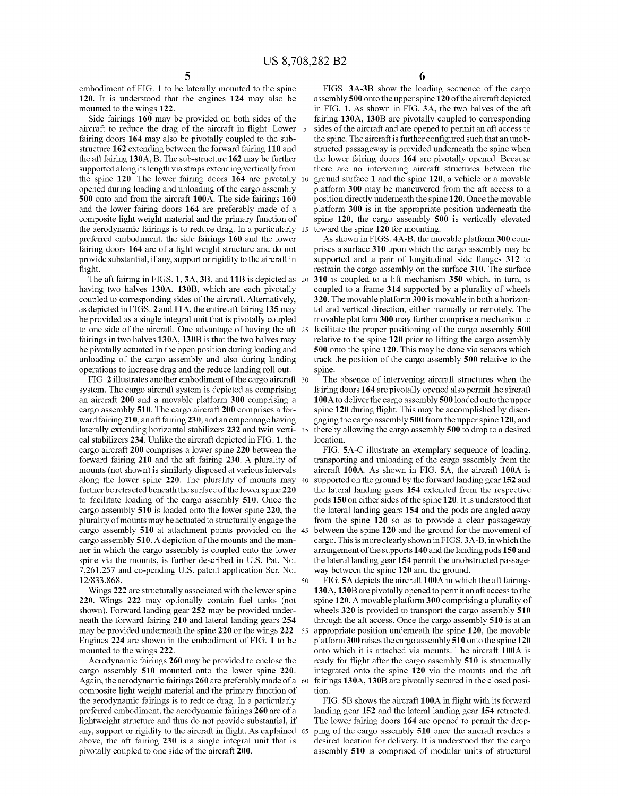embodiment of FIG. 1 to be laterally mounted to the spine 120. It is understood that the engines 124 may also be mounted to the wings 122.

Side fairings 160 may be provided on both sides of the aircraft to reduce the drag of the aircraft in flight. Lower 5 fairing doors 164 may also be pivotally coupled to the substructure 162 extending between the forward fairing 110 and the aft fairing  $130A$ , B. The sub-structure  $162$  may be further supported along its length via straps extending vertically from the spine  $120$ . The lower fairing doors  $164$  are pivotally  $10$ opened during loading and unloading of the cargo assembly 500 onto and from the aircraft 100A. The side fairings 160 and the lower fairing doors 164 are preferably made of a composite light weight material and the primary function of the aerodynamic fairings is to reduce drag. In a particularly 15 preferred embodiment, the side fairings 160 and the lower fairing doors 164 are of a light weight structure and do not provide substantial, if any, support or rigidity to the aircraft in Hight.

The aft fairing in FIGS. 1, 3A, 3B, and 11B is depicted as 20 having two halves 130A, 130B, which are each pivotally coupled to corresponding sides of the aircraft. Alternatively, as depicted in FIGS. 2 and 11A, the entire aft fairing 135 may be provided as a single integral unit that is pivotally coupled to one side of the aircraft. One advantage of having the aft 25 fairings in two halves  $130A$ ,  $130B$  is that the two halves may be pivotally actuated in the open position during loading and unloading of the cargo assembly and also during landing operations to increase drag and the reduce landing roll out.

FIG. 2 illustrates another embodiment of the cargo aircraft 30 system. The cargo aircraft system is depicted as comprising an aircraft 200 and a movable platform 300 comprising a cargo assembly 510. The cargo aircraft 200 comprises a forward fairing 210, an aft fairing 230, and an empennage having laterally extending horizontal stabilizers 232 and twin verti- 35 cal stabilizers  $234$ . Unlike the aircraft depicted in FIG. 1, the cargo aircraft 200 comprises a lower spine 220 between the forward fairing 210 and the aft fairing 230. A plurality of mounts (not shown) is similarly disposed at various intervals along the lower spine 220. The plurality of mounts may  $40$ further be retracted beneath the surface of the lower spine 220 to facilitate loading of the cargo assembly 510. Once the cargo assembly 510 is loaded onto the lower spine 220, the plurality of mounts may be actuated to structurally engage the cargo assembly 510 at attachment points provided on the 45 cargo assembly 510. A depiction of the mounts and the manner in Which the Carg0 assembly is Coupled ont0 the 10Wer spine via the mounts, is further described in U.S. Pat. No. 7,261,257 and co-pending U.S. patent application Ser. No. 12/833,868. 50

Wings 222 are structurally associated with the lower spine 220. Wings 222 may optionally contain fuel tanks (not shown). Forward landing gear 252 may be provided underneath the forward fairing 210 and lateral landing gears 254 may be provided underneath the spine 220 or the wings 222. 55 Engines 224 are shown in the embodiment of FIG. 1 to be mounted to the wings 222.

Aerodynamic fairings 260 may be provided to enclose the cargo assembly 510 mounted onto the lower spine 220. Again, the aerodynamic fairings  $260$  are preferably made of a  $\,$  60  $\,$ composite light weight material and the primary function of the aerodynamic fairings is to reduce drag. In a particularly preferred embodiment, the aerodynamic fairings 260 are of a lightweight structure and thus do not provide substantial, if any, support or rigidity to the aircraft in flight. As explained above, the aft fairing  $230$  is a single integral unit that is pivotally coupled to one side of the aircraft 200. 65

FIGS. 3A-3B show the loading sequence of the cargo assembly  $500$  onto the upper spine  $120$  of the aircraft depicted in FIG. 1. As shown in FIG. 3A, the two halves of the aft fairing 130A, 130B are pivotally coupled to corresponding sides of the aircraft and are opened to permit an aft access to the spine. The aircraft is further configured such that an unobstructed passageway is provided underneath the spine when the lower fairing doors 164 are pivotally opened. Because there are no intervening aircraft structures between the ground surface 1 and the spine  $120$ , a vehicle or a movable platform 300 may be maneuvered from the aft access to a position directly underneath the spine 120. Once the movable platform 300 is in the appropriate position underneath the spine  $120$ , the cargo assembly  $500$  is vertically elevated toward the spine 120 for mounting.

As shown in FIGS. 4A-B, the movable platform 300 comprises a surface 310 upon which the cargo assembly may be supported and a pair of longitudinal side flanges 312 to restrain the cargo assembly on the surface 310. The surface 310 is coupled to a lift mechanism 350 which, in turn, is coupled to a frame 314 supported by a plurality of wheels 320. The movable platform 300 is movable in both a horizontal and vertical direction, either manually or remotely. The movable platform 300 may further comprise a mechanism to facilitate the proper positioning of the cargo assembly 500 relative to the spine 120 prior to lifting the cargo assembly 500 onto the spine 120. This may be done via sensors which track the position of the cargo assembly 500 relative to the spine.

The absence of intervening aircraft structures when the fairing doors 164 are pivotally opened also permit the aircraft 100A t0 deliver the Carg0 assembly 500 10aded Ont0 the upper spine 120 during flight. This may be accomplished by disengaging the Carg0 assembly 500 from the upper spine 120, and thereby allowing the cargo assembly 500 to drop to a desired location.

FIG. 5A-C illustrate an exemplary sequence of loading, transporting and unloading of the cargo assembly from the aircraft 100A. AS Shown in FIG. 5A, the aircraft 100A is supported on the ground by the forward landing gear 152 and the lateral landing gears 154 extended from the respective pods 150 on either sides of the spine 120. It is understood that the lateral landing gears 154 and the pods are angled away from the spine 120 so as to provide a clear passageway between the spine 120 and the ground for the movement of cargo. This is more clearly shown in FIGS. 3A-B, in which the arrangement of the supports 140 and the landing pods 150 and the lateral landing gear 154 permit the unobstructed passageway between the spine 120 and the ground.

FIG. 5A depicts the aircraft 100A in which the aft fairings 130A, 130B are pivotally opened to permit an aft access to the spine 120. A movable platform 300 comprising a plurality of wheels  $320$  is provided to transport the cargo assembly  $510$ through the aft access. Once the cargo assembly 510 is at an appropriate position underneath the spine  $120$ , the movable platform  $300$  raises the cargo assembly  $510$  onto the spine  $120$ onto which it is attached via mounts. The aircraft 100A is ready for flight after the cargo assembly 510 is structurally integrated onto the spine 120 via the mounts and the aft fairings 130A, 130B are pivotally secured in the closed position.

FIG. 5B shows the aircraft 100A in flight with its forward landing gear 152 and the lateral landing gear 154 retracted. The lower fairing doors 164 are opened to permit the dropping of the cargo assembly 510 once the aircraft reaches a desired location for delivery. It is understood that the cargo assembly 510 is comprised of modular units of structural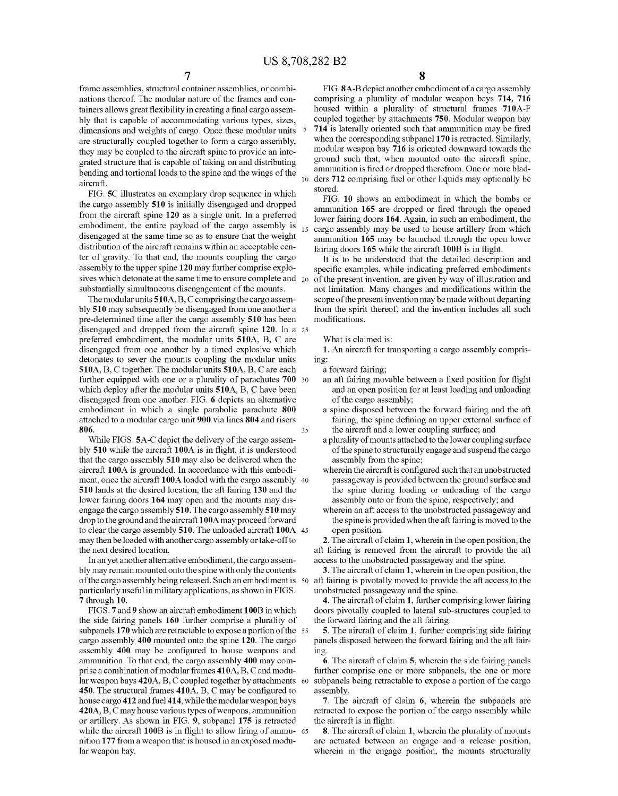frame assemblies, structural container assemblies, or combinations thereof. The modular nature of the frames and containers allows great flexibility in creating a final cargo assembly that is capable of accommodating various types, sizes, dimensions and weights of cargo. Once these modular units are structurally coupled together to form a cargo assembly, they may be coupled to the aircraft spine to provide an integrated structure that is capable of taking on and distributing bending and tortional loads to the spine and the wings of the aircraft.

FIG. 5C illustrates an exemplary drop sequence in which the cargo assembly 510 is initially disengaged and dropped from the aircraft spine 120 as a single unit. In a preferred embodiment, the entire payload of the cargo assembly is disengaged at the same time so as to ensure that the weight distribution of the aircraft remains within an acceptable center of gravity. To that end, the mounts coupling the cargo assembly to the upper spine 120 may further comprise explosives which detonate at the same time to ensure complete and  $_{20}$ substantially simultaneous disengagement of the mounts.

The modular units 510A, B, C comprising the cargo assembly 510 may subsequently be disengaged from one another a pre-determined time after the cargo assembly 510 has been disengaged and dropped from the aircraft spine 120. In a 25 preferred embodiment, the modular units 510A, B, C are disengaged from one another by a timed explosive which detonates to sever the mounts coupling the modular units 510A, B, C together. The modular units 510A, B, C are each further equipped with one or a plurality of parachutes 700 30 which deploy after the modular units 510A, B, C have been disengaged from one another. FIG. 6 depicts an alternative embodiment in which a single parabolic parachute 800 attached to a modular cargo unit 900 via lines 804 and risers 806 35

While FIGS. 5A-C depict the delivery of the cargo assembly 510 while the aircraft 100A is in flight, it is understood that the cargo assembly 510 may also be delivered when the aircraft 100A is grounded. In accordance with this embodiment, once the aircraft 100A loaded with the cargo assembly 40 510 lands at the desired location, the aft fairing 130 and the lower fairing doors 164 may open and the mounts may disengage the cargo assembly 510. The cargo assembly 510 may drop to the ground and the aircraft 100A may proceed forward to clear the cargo assembly 510. The unloaded aircraft 100A 45 may then be loaded with another cargo assembly or take-off to the next desired location.

In an yet another alternative embodiment, the cargo assembly may remain mounted onto the spine with only the contents of the cargo assembly being released. Such an embodiment is 50 particularly useful in military applications, as shown in FIGS. 7 through 10.

FIGS. 7 and 9 show an aircraft embodiment 100B in which the side fairing panels 160 further comprise a plurality of subpanels 170 which are retractable to expose a portion of the 55 cargo assembly 400 mounted onto the spine 120. The cargo assembly 400 may be configured to house weapons and ammunition. To that end, the cargo assembly 400 may comprise a combination of modular frames 410A, B, C and modular weapon bays 420A, B, C coupled together by attachments 60 450. The structural frames 410A, B, C may be configured to house cargo 412 and fuel 414, while the modular weapon bays 420A, B, C may house various types of weapons, ammunition or artillery. As shown in FIG. 9, subpanel 175 is retracted while the aircraft 100B is in flight to allow firing of ammu- 65 nition 177 from a weapon that is housed in an exposed modular weapon bay.

FIG. 8A-B depict another embodiment of a cargo assembly comprising a plurality of modular weapon bays 714, 716 housed within a plurality of structural frames 710A-F coupled together by attachments 750. Modular weapon bay 714 is laterally oriented such that ammunition may be fired when the corresponding subpanel 170 is retracted. Similarly, modular weapon bay 716 is oriented downward towards the ground such that, when mounted onto the aircraft spine, ammunition is fired or dropped therefrom. One or more bladders 712 comprising fuel or other liquids may optionally be stored.

FIG. 10 shows an embodiment in which the bombs or ammunition 165 are dropped or fired through the opened lower fairing doors 164. Again, in such an embodiment, the cargo assembly may be used to house artillery from which ammunition 165 may be launched through the open lower fairing doors 165 while the aircraft 100B is in flight.

It is to be understood that the detailed description and specific examples, while indicating preferred embodiments of the present invention, are given by way of illustration and not limitation. Many changes and modifications within the scope of the present invention may be made without departing from the spirit thereof, and the invention includes all such modifications.

What is claimed is:

1. An aircraft for transporting a cargo assembly comprising:

a forward fairing;

- an aft fairing movable between a fixed position for flight and an open position for at least loading and unloading of the cargo assembly;
- a spine disposed between the forward fairing and the aft fairing, the spine defining an upper external surface of the aircraft and a lower coupling surface; and
- a plurality of mounts attached to the lower coupling surface of the spine to structurally engage and suspend the cargo assembly from the spine;
- wherein the aircraft is configured such that an unobstructed passageway is provided between the ground surface and the spine during loading or unloading of the cargo assembly onto or from the spine, respectively; and
- wherein an aft access to the unobstructed passageway and the spine is provided when the aft fairing is moved to the open position.

2. The aircraft of claim 1, wherein in the open position, the aft fairing is removed from the aircraft to provide the aft access to the unobstructed passageway and the spine.

3. The aircraft of claim 1, wherein in the open position, the aft fairing is pivotally moved to provide the aft access to the unobstructed passageway and the spine.

4. The aircraft of claim 1, further comprising lower fairing doors pivotally coupled to lateral sub-structures coupled to the forward fairing and the aft fairing.

5. The aircraft of claim 1, further comprising side fairing panels disposed between the forward fairing and the aft fairing

6. The aircraft of claim 5, wherein the side fairing panels further comprise one or more subpanels, the one or more subpanels being retractable to expose a portion of the cargo assembly.

7. The aircraft of claim 6, wherein the subpanels are retracted to expose the portion of the cargo assembly while the aircraft is in flight.

8. The aircraft of claim 1, wherein the plurality of mounts are actuated between an engage and a release position, wherein in the engage position, the mounts structurally